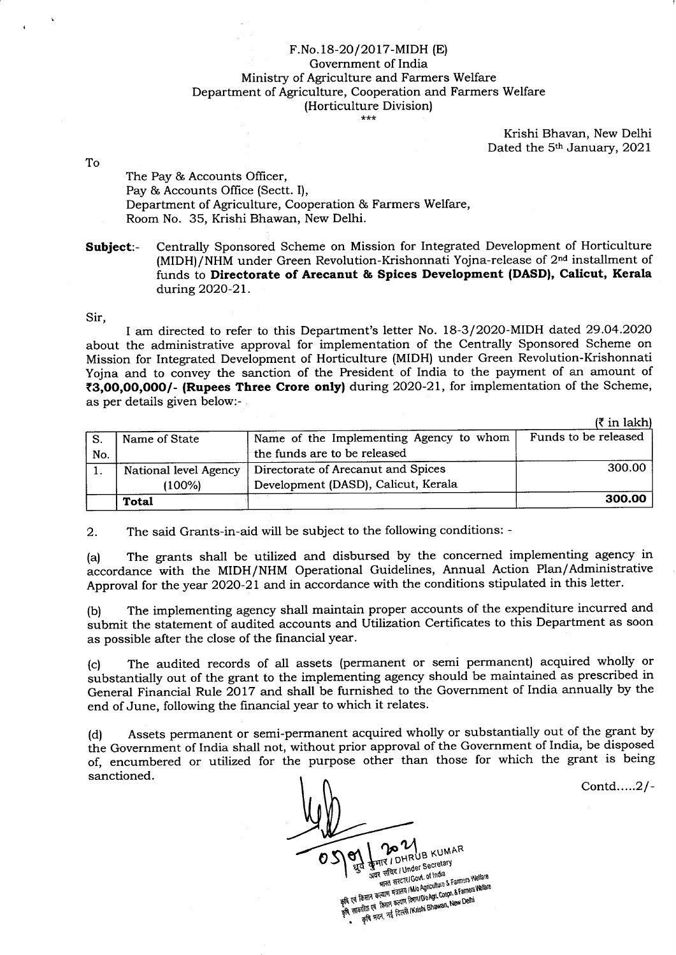## F.No.18-20/2017-MIDH (E) Government of India Ministry of Agriculture and Farmers Welfare Department of Agriculture, Cooperation and Farmers Welfare (Horticulture Division)

Krishi Bhavan, New Delhi Dated the 5<sup>th</sup> January, 2021

To

The Pay & Accounts Officer, Pay & Accounts Office (Sectt. I), Department of Agriculture, Cooperation & Farmers Welfare, Room No. 35, Krishi Bhawan, New Delhi.

Subject:- Centrally Sponsored Scheme on Mission for Integrated Development of Horticulture (MIDH)/NHM under Green Revolution-Krishonnati Yojna-release of 2<sup>nd</sup> installment of funds to Directorate of Arecanut & Spices Development {DASD}, Calicut, Kera1a during 2O2O-2L.

Sir,

I am directed to refer to this Department's letter No. 18-3/202O-MIDH dated 29.O4.2O2O about the administrative approval for implementation of the Centrally Sponsored Scheme on Mission for Integrated Development of Horticulture (MIDH) under Green Revolution-Krishonnati Yojna and to convey the sanction of the President of India to the payment of an amount of (3,OO,OO,OOO/- (Rupees Three Crore onlyf during 2O2O-21, for implementation of the Scheme, as per details given below:-

| in lakhl |
|----------|
|----------|

|     | Name of State         | Name of the Implementing Agency to whom | Funds to be released |
|-----|-----------------------|-----------------------------------------|----------------------|
| No. |                       | the funds are to be released            |                      |
|     | National level Agency | Directorate of Arecanut and Spices      | 300.00               |
|     | (100%)                | Development (DASD), Calicut, Kerala     |                      |
|     | <b>Total</b>          |                                         | 300.00               |
|     |                       |                                         |                      |

2. The said Grants-in-aid will be subject to the following conditions: -

(a) The grants shall be utilized and disbursed by the concerned implementing agency in accordance with the MIDH/NHM Operational Guidelines, Annual Action Plan/Administrative Approval for the year 2020-21 and in accordance with the conditions stipulated in this letter.

(b) The implementing agency shall maintain proper accounts of the expenditure incurred and submit the statement of audited accounts and Utilization Certificates to this Department as soon as possible after the close of the financial year.

(c) The audited records of all assets (permanent or semi permanent) acquired wholly or substantially out of the grant to the implementing agency should be maintained as prescribed in General Financial Rule 2017 and shall be furnished to the Government of India annually by the end of June, following the financial year to which it relates.

(d) Assets pernanent or semi-permanent acquired wholly or substantially out of the grant by the Government of India shall not, without prior approval of the Government of India, be disposed of, encumbered or utilized for the purpose other than those for which the grant is being sanctioned.

Contd.....2/-

**DO MUB KUMAR** o अवर सचिद। Under Secretary र सचिद / Under Secretary<br>भारत सरदार/Govt. of India<br>भारत सरदार/Govt. of India **SAT EIRE / Under Chindia**<br>THE FIRE RESERVED ON A BOOMING & Farmers Welfare<br>THE FIRE THE PROPERTY AND AGROUNDED & Farmers Welfare<br>THE FIRE RESULT FROM PROPERTY ON THE RESERVED FOR THE RESULT. े भारत सरदार। GOVL on the & Farmers Wellard<br>के एवं किसान कदमान मंत्रालय (MJo Agriculture & Farmers Welfare<br>के एवं किसान कदमान कदमान शिवाग (Do Agri, Coope, & Farmers Welfare<br>कि सहकारिता एवं किसान कदमान शिवाजी (Krishi Bhawa किसान कल्याण मंत्रालय marvi Dio Agri. Coopn. & Failleso<br>कारिता एवं किसान कल्याण विमाग Dio Agri. Coopn. & Failleso<br>कृषि भवन, नई दिल्ली /Krishi Bhawan, New Delhi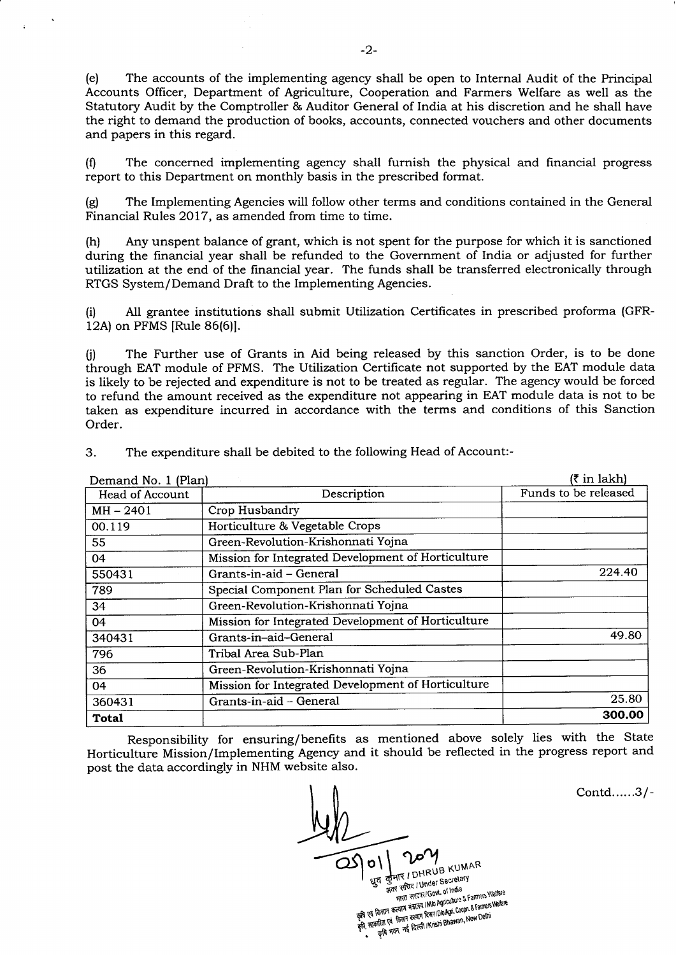(e) The accounts of the implementing agency shall be open to Internal Audit of the Principal Accounts Officer, Department of Agriculture, Cooperation and Farmers Welfare as well as the Statutory Audit by the Comptroller & Auditor General of India at his discretion and he shall have the right to demand the production of books, accounts, connected vouchers and other documents and papers in this regard.

(0 The concerned implementing agency shall furnish the physical and financial progress report to this Department on monthly basis in the prescribed format.

(g) The Implementing Agencies will follow other terms and conditions contained in the General Financial Rules 2017, as amended from time to time.

(h) Any unspent balance of grant, which is not spent for the purpose for which it is sanctioned during the financial year shall be refunded to the Government of India or adjusted for further utilization at the end of the financial year. The funds shall be transferred electronically through RTGS System/Demand Draft to the Implementing Agencies.

(il All grantee institutions shall submit Utilization Certificates in prescribed proforma (GFR-12A) on PFMS [Rule 86(6)].

0) The Further use of Grants in Aid being released by this sanction Order, is to be done through EAT module of PFMS. The Utilization Certificate not supported by the EAT module data is likely to be rejected and expenditure is not to be treated as regular. The agency would be forced to refund the amount received as the expenditure not appearing in EAT module data is not to be taken as expenditure incurred in accordance with the terms and conditions of this Sanction Order.

| Demand No. 1 (Plan)    | $(3 \in \mathbb{R}^2)$                             |                      |
|------------------------|----------------------------------------------------|----------------------|
| <b>Head of Account</b> | Description                                        | Funds to be released |
| $MH - 2401$            | Crop Husbandry                                     |                      |
| 00.119                 | Horticulture & Vegetable Crops                     |                      |
| 55                     | Green-Revolution-Krishonnati Yojna                 |                      |
| 04                     | Mission for Integrated Development of Horticulture |                      |
| 550431                 | Grants-in-aid – General                            | 224.40               |
| 789                    | Special Component Plan for Scheduled Castes        |                      |
| 34                     | Green-Revolution-Krishonnati Yojna                 |                      |
| 04                     | Mission for Integrated Development of Horticulture |                      |
| 340431                 | Grants-in-aid-General                              | 49.80                |
| 796                    | Tribal Area Sub-Plan                               |                      |
| 36                     | Green-Revolution-Krishonnati Yojna                 |                      |
| 04                     | Mission for Integrated Development of Horticulture |                      |
| 360431                 | Grants-in-aid - General                            | 25.80                |
| Total                  |                                                    | 300.00               |

3. The expenditure shall be debited to the following Head of Account:-

Responsibility for ensuring/benefits as mentioned above solely lies with the State Horticulture Mission/Implementing Agency and it should be reflected in the progress report and post the data accordingly in NHM website also.

NB KUMAR कुमार / DHRUB<br>अवर सचिद / Under Secretary र सचिद। Under Secret<br>भारत सरदार/Govt. of India<br>11th Annculture of - अवर संचिर / Uniocot. of India<br>| भारत सरदार/Govt. of India<br>| किसान कल्याण मंत्रालय / Mo Agiculture & Farmers Welfare<br>| किसान कल्याण किसा / Do Agi. Coopt. & Farmers Welfare

भारत सरदार IDUO Agriculture & Farmers venue<br>किसान कत्याण मंत्रात्य i Mio Agriculture & Farmers Welfare<br>क्रीरेग्रा एवं किसान कत्याण विज्ञान IDo Agri. Coopn. & Farmers Welfare केसान कल्याण सम्मा दिनाग/Dio Agri Coopti a raman<br>प्रतिता एवं किसान कल्याण दिनाग/Dio Agri Coopti a raman<br>कृषि मवन, नई दिल्ली /Krishi Bhawan, New Delhi

Contd......3/-